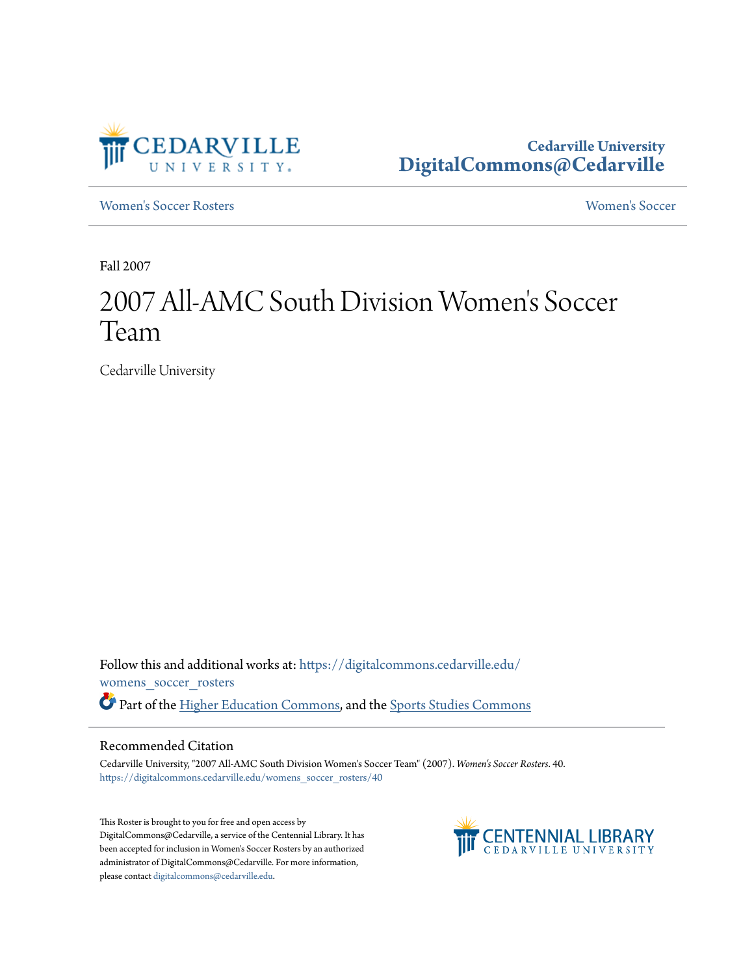

**Cedarville University [DigitalCommons@Cedarville](https://digitalcommons.cedarville.edu?utm_source=digitalcommons.cedarville.edu%2Fwomens_soccer_rosters%2F40&utm_medium=PDF&utm_campaign=PDFCoverPages)**

[Women's Soccer Rosters](https://digitalcommons.cedarville.edu/womens_soccer_rosters?utm_source=digitalcommons.cedarville.edu%2Fwomens_soccer_rosters%2F40&utm_medium=PDF&utm_campaign=PDFCoverPages) [Women's Soccer](https://digitalcommons.cedarville.edu/womens_soccer?utm_source=digitalcommons.cedarville.edu%2Fwomens_soccer_rosters%2F40&utm_medium=PDF&utm_campaign=PDFCoverPages)

Fall 2007

# 2007 All-AMC South Division Women 's Soccer Team

Cedarville University

Follow this and additional works at: [https://digitalcommons.cedarville.edu/](https://digitalcommons.cedarville.edu/womens_soccer_rosters?utm_source=digitalcommons.cedarville.edu%2Fwomens_soccer_rosters%2F40&utm_medium=PDF&utm_campaign=PDFCoverPages) [womens\\_soccer\\_rosters](https://digitalcommons.cedarville.edu/womens_soccer_rosters?utm_source=digitalcommons.cedarville.edu%2Fwomens_soccer_rosters%2F40&utm_medium=PDF&utm_campaign=PDFCoverPages) Part of the [Higher Education Commons](http://network.bepress.com/hgg/discipline/1245?utm_source=digitalcommons.cedarville.edu%2Fwomens_soccer_rosters%2F40&utm_medium=PDF&utm_campaign=PDFCoverPages), and the [Sports Studies Commons](http://network.bepress.com/hgg/discipline/1198?utm_source=digitalcommons.cedarville.edu%2Fwomens_soccer_rosters%2F40&utm_medium=PDF&utm_campaign=PDFCoverPages)

### Recommended Citation

Cedarville University, "2007 All-AMC South Division Women's Soccer Team" (2007). *Women's Soccer Rosters*. 40. [https://digitalcommons.cedarville.edu/womens\\_soccer\\_rosters/40](https://digitalcommons.cedarville.edu/womens_soccer_rosters/40?utm_source=digitalcommons.cedarville.edu%2Fwomens_soccer_rosters%2F40&utm_medium=PDF&utm_campaign=PDFCoverPages)

This Roster is brought to you for free and open access by DigitalCommons@Cedarville, a service of the Centennial Library. It has been accepted for inclusion in Women's Soccer Rosters by an authorized administrator of DigitalCommons@Cedarville. For more information, please contact [digitalcommons@cedarville.edu.](mailto:digitalcommons@cedarville.edu)